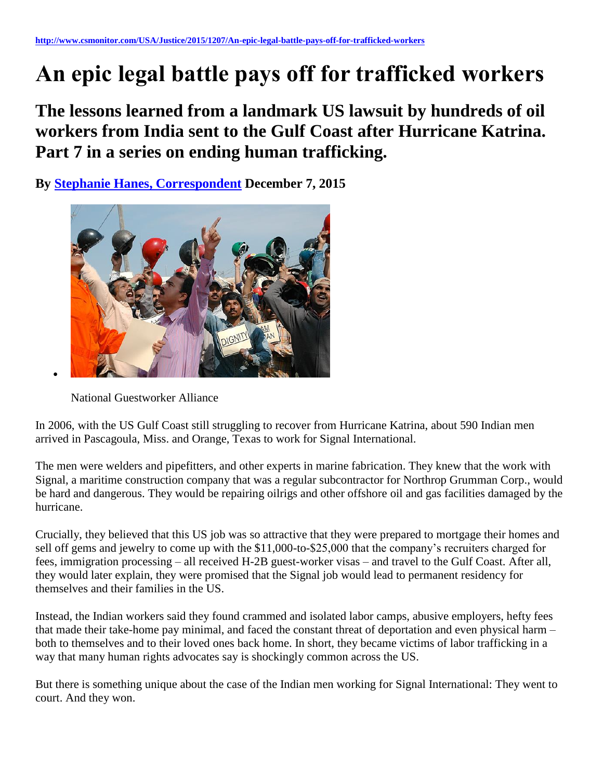# **An epic legal battle pays off for trafficked workers**

**The lessons learned from a landmark US lawsuit by hundreds of oil workers from India sent to the Gulf Coast after Hurricane Katrina. Part 7 in a series on ending human trafficking.**

**By [Stephanie Hanes, Correspondent](http://www.csmonitor.com/USA/Justice/2015/1207/An-epic-legal-battle-pays-off-for-trafficked-workers) December 7, 2015** 



National Guestworker Alliance

In 2006, with the US Gulf Coast still struggling to recover from Hurricane Katrina, about 590 Indian men arrived in Pascagoula, Miss. and Orange, Texas to work for Signal International.

The men were welders and pipefitters, and other experts in marine fabrication. They knew that the work with Signal, a maritime construction company that was a regular subcontractor for Northrop Grumman Corp., would be hard and dangerous. They would be repairing oilrigs and other offshore oil and gas facilities damaged by the hurricane.

Crucially, they believed that this US job was so attractive that they were prepared to mortgage their homes and sell off gems and jewelry to come up with the \$11,000-to-\$25,000 that the company's recruiters charged for fees, immigration processing – all received H-2B guest-worker visas – and travel to the Gulf Coast. After all, they would later explain, they were promised that the Signal job would lead to permanent residency for themselves and their families in the US.

Instead, the Indian workers said they found crammed and isolated labor camps, abusive employers, hefty fees that made their take-home pay minimal, and faced the constant threat of deportation and even physical harm – both to themselves and to their loved ones back home. In short, they became victims of labor trafficking in a way that many human rights advocates say is shockingly common across the US.

But there is something unique about the case of the Indian men working for Signal International: They went to court. And they won.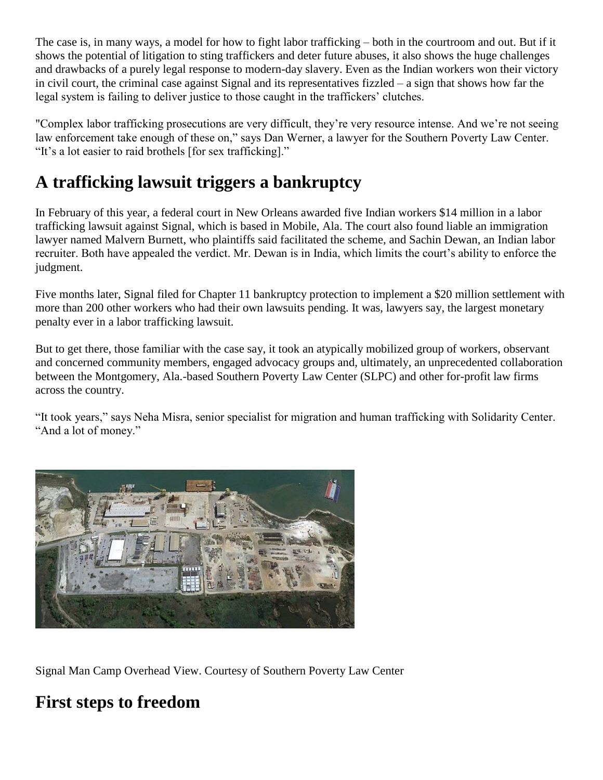The case is, in many ways, a model for how to fight labor trafficking – both in the courtroom and out. But if it shows the potential of litigation to sting traffickers and deter future abuses, it also shows the huge challenges and drawbacks of a purely legal response to modern-day slavery. Even as the Indian workers won their victory in civil court, the criminal case against Signal and its representatives fizzled – a sign that shows how far the legal system is failing to deliver justice to those caught in the traffickers' clutches.

"Complex labor trafficking prosecutions are very difficult, they're very resource intense. And we're not seeing law enforcement take enough of these on," says Dan Werner, a lawyer for the Southern Poverty Law Center. "It's a lot easier to raid brothels [for sex trafficking]."

### **A trafficking lawsuit triggers a bankruptcy**

In February of this year, a federal court in New Orleans awarded five Indian workers \$14 million in a labor trafficking lawsuit against Signal, which is based in Mobile, Ala. The court also found liable an immigration lawyer named Malvern Burnett, who plaintiffs said facilitated the scheme, and Sachin Dewan, an Indian labor recruiter. Both have appealed the verdict. Mr. Dewan is in India, which limits the court's ability to enforce the judgment.

Five months later, Signal filed for Chapter 11 bankruptcy protection to implement a \$20 million settlement with more than 200 other workers who had their own lawsuits pending. It was, lawyers say, the largest monetary penalty ever in a labor trafficking lawsuit.

But to get there, those familiar with the case say, it took an atypically mobilized group of workers, observant and concerned community members, engaged advocacy groups and, ultimately, an unprecedented collaboration between the Montgomery, Ala.-based Southern Poverty Law Center (SLPC) and other for-profit law firms across the country.

"It took years," says Neha Misra, senior specialist for migration and human trafficking with Solidarity Center. "And a lot of money."



Signal Man Camp Overhead View. Courtesy of Southern Poverty Law Center

### **First steps to freedom**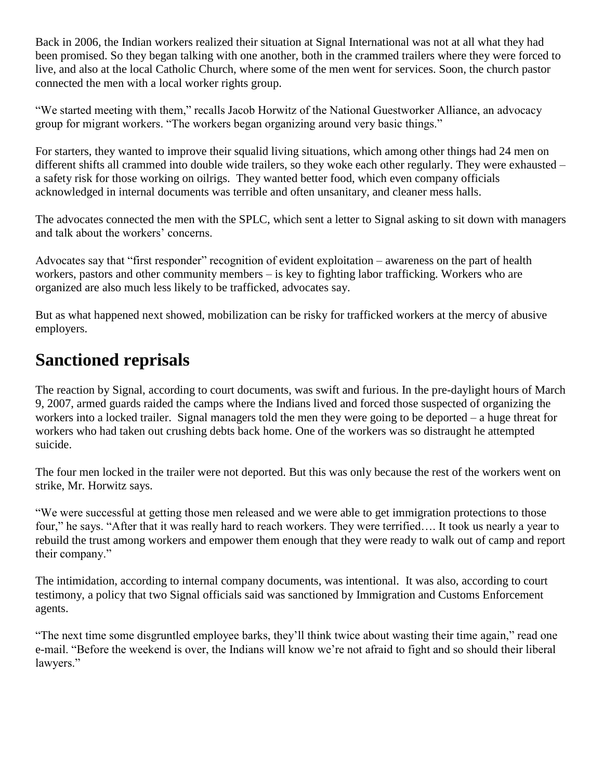Back in 2006, the Indian workers realized their situation at Signal International was not at all what they had been promised. So they began talking with one another, both in the crammed trailers where they were forced to live, and also at the local Catholic Church, where some of the men went for services. Soon, the church pastor connected the men with a local worker rights group.

"We started meeting with them," recalls Jacob Horwitz of the National Guestworker Alliance, an advocacy group for migrant workers. "The workers began organizing around very basic things."

For starters, they wanted to improve their squalid living situations, which among other things had 24 men on different shifts all crammed into double wide trailers, so they woke each other regularly. They were exhausted – a safety risk for those working on oilrigs. They wanted better food, which even company officials acknowledged in internal documents was terrible and often unsanitary, and cleaner mess halls.

The advocates connected the men with the SPLC, which sent a letter to Signal asking to sit down with managers and talk about the workers' concerns.

Advocates say that "first responder" recognition of evident exploitation – awareness on the part of health workers, pastors and other community members – is key to fighting labor trafficking. Workers who are organized are also much less likely to be trafficked, advocates say.

But as what happened next showed, mobilization can be risky for trafficked workers at the mercy of abusive employers.

### **Sanctioned reprisals**

The reaction by Signal, according to court documents, was swift and furious. In the pre-daylight hours of March 9, 2007, armed guards raided the camps where the Indians lived and forced those suspected of organizing the workers into a locked trailer. Signal managers told the men they were going to be deported – a huge threat for workers who had taken out crushing debts back home. One of the workers was so distraught he attempted suicide.

The four men locked in the trailer were not deported. But this was only because the rest of the workers went on strike, Mr. Horwitz says.

"We were successful at getting those men released and we were able to get immigration protections to those four," he says. "After that it was really hard to reach workers. They were terrified…. It took us nearly a year to rebuild the trust among workers and empower them enough that they were ready to walk out of camp and report their company."

The intimidation, according to internal company documents, was intentional. It was also, according to court testimony, a policy that two Signal officials said was sanctioned by Immigration and Customs Enforcement agents.

"The next time some disgruntled employee barks, they'll think twice about wasting their time again," read one e-mail. "Before the weekend is over, the Indians will know we're not afraid to fight and so should their liberal lawyers."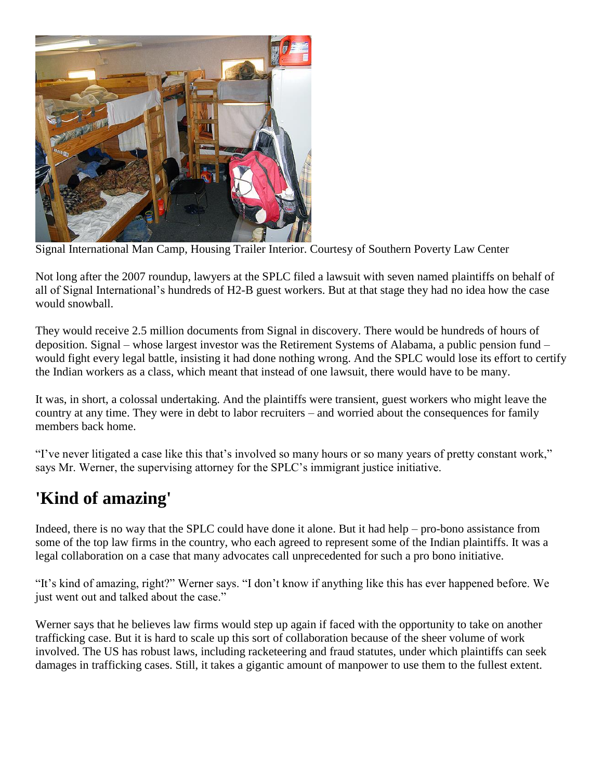

Signal International Man Camp, Housing Trailer Interior. Courtesy of Southern Poverty Law Center

Not long after the 2007 roundup, lawyers at the SPLC filed a lawsuit with seven named plaintiffs on behalf of all of Signal International's hundreds of H2-B guest workers. But at that stage they had no idea how the case would snowball.

They would receive 2.5 million documents from Signal in discovery. There would be hundreds of hours of deposition. Signal – whose largest investor was the Retirement Systems of Alabama, a public pension fund – would fight every legal battle, insisting it had done nothing wrong. And the SPLC would lose its effort to certify the Indian workers as a class, which meant that instead of one lawsuit, there would have to be many.

It was, in short, a colossal undertaking. And the plaintiffs were transient, guest workers who might leave the country at any time. They were in debt to labor recruiters – and worried about the consequences for family members back home.

"I've never litigated a case like this that's involved so many hours or so many years of pretty constant work," says Mr. Werner, the supervising attorney for the SPLC's immigrant justice initiative.

## **'Kind of amazing'**

Indeed, there is no way that the SPLC could have done it alone. But it had help – pro-bono assistance from some of the top law firms in the country, who each agreed to represent some of the Indian plaintiffs. It was a legal collaboration on a case that many advocates call unprecedented for such a pro bono initiative.

"It's kind of amazing, right?" Werner says. "I don't know if anything like this has ever happened before. We just went out and talked about the case."

Werner says that he believes law firms would step up again if faced with the opportunity to take on another trafficking case. But it is hard to scale up this sort of collaboration because of the sheer volume of work involved. The US has robust laws, including racketeering and fraud statutes, under which plaintiffs can seek damages in trafficking cases. Still, it takes a gigantic amount of manpower to use them to the fullest extent.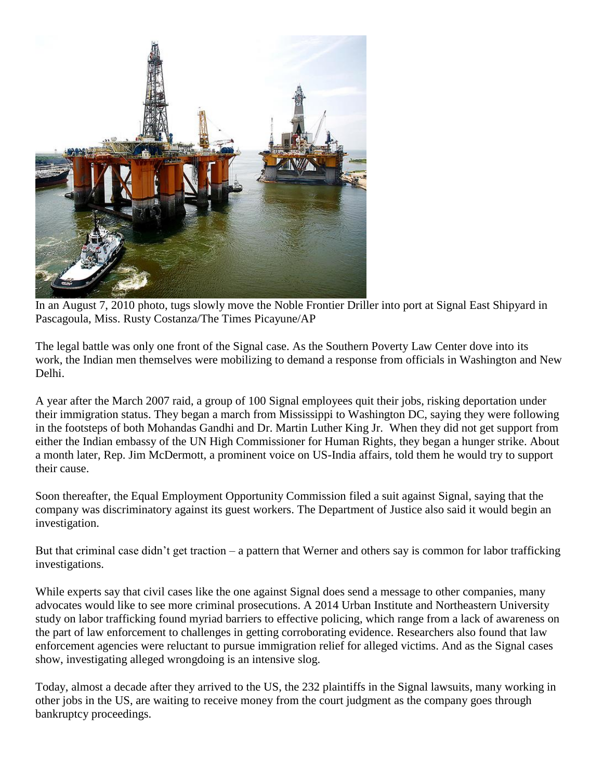

In an August 7, 2010 photo, tugs slowly move the Noble Frontier Driller into port at Signal East Shipyard in Pascagoula, Miss. Rusty Costanza/The Times Picayune/AP

The legal battle was only one front of the Signal case. As the Southern Poverty Law Center dove into its work, the Indian men themselves were mobilizing to demand a response from officials in Washington and New Delhi.

A year after the March 2007 raid, a group of 100 Signal employees quit their jobs, risking deportation under their immigration status. They began a march from Mississippi to Washington DC, saying they were following in the footsteps of both Mohandas Gandhi and Dr. Martin Luther King Jr. When they did not get support from either the Indian embassy of the UN High Commissioner for Human Rights, they began a hunger strike. About a month later, Rep. Jim McDermott, a prominent voice on US-India affairs, told them he would try to support their cause.

Soon thereafter, the Equal Employment Opportunity Commission filed a suit against Signal, saying that the company was discriminatory against its guest workers. The Department of Justice also said it would begin an investigation.

But that criminal case didn't get traction – a pattern that Werner and others say is common for labor trafficking investigations.

While experts say that civil cases like the one against Signal does send a message to other companies, many advocates would like to see more criminal prosecutions. A 2014 Urban Institute and Northeastern University study on labor trafficking found myriad barriers to effective policing, which range from a lack of awareness on the part of law enforcement to challenges in getting corroborating evidence. Researchers also found that law enforcement agencies were reluctant to pursue immigration relief for alleged victims. And as the Signal cases show, investigating alleged wrongdoing is an intensive slog.

Today, almost a decade after they arrived to the US, the 232 plaintiffs in the Signal lawsuits, many working in other jobs in the US, are waiting to receive money from the court judgment as the company goes through bankruptcy proceedings.